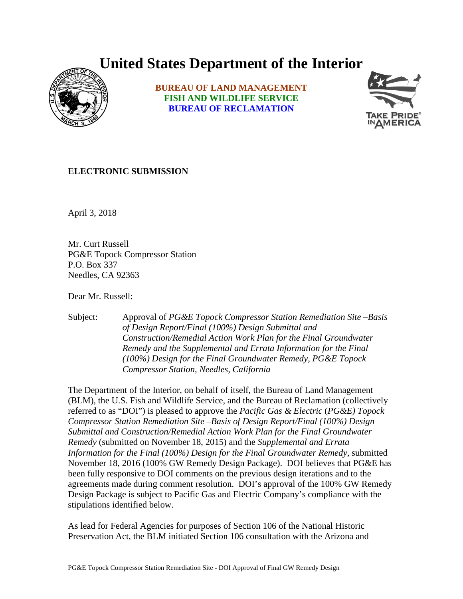## **United States Department of the Interior**



**BUREAU OF LAND MANAGEMENT FISH AND WILDLIFE SERVICE BUREAU OF RECLAMATION**



## **ELECTRONIC SUBMISSION**

April 3, 2018

Mr. Curt Russell PG&E Topock Compressor Station P.O. Box 337 Needles, CA 92363

Dear Mr. Russell:

Subject: Approval of *PG&E Topock Compressor Station Remediation Site –Basis of Design Report/Final (100%) Design Submittal and Construction/Remedial Action Work Plan for the Final Groundwater Remedy and the Supplemental and Errata Information for the Final (100%) Design for the Final Groundwater Remedy, PG&E Topock Compressor Station, Needles, California*

The Department of the Interior, on behalf of itself, the Bureau of Land Management (BLM), the U.S. Fish and Wildlife Service, and the Bureau of Reclamation (collectively referred to as "DOI") is pleased to approve the *Pacific Gas & Electric* (*PG&E) Topock Compressor Station Remediation Site –Basis of Design Report/Final (100%) Design Submittal and Construction/Remedial Action Work Plan for the Final Groundwater Remedy* (submitted on November 18, 2015) and the *Supplemental and Errata Information for the Final (100%) Design for the Final Groundwater Remedy*, submitted November 18, 2016 (100% GW Remedy Design Package). DOI believes that PG&E has been fully responsive to DOI comments on the previous design iterations and to the agreements made during comment resolution. DOI's approval of the 100% GW Remedy Design Package is subject to Pacific Gas and Electric Company's compliance with the stipulations identified below.

As lead for Federal Agencies for purposes of Section 106 of the National Historic Preservation Act, the BLM initiated Section 106 consultation with the Arizona and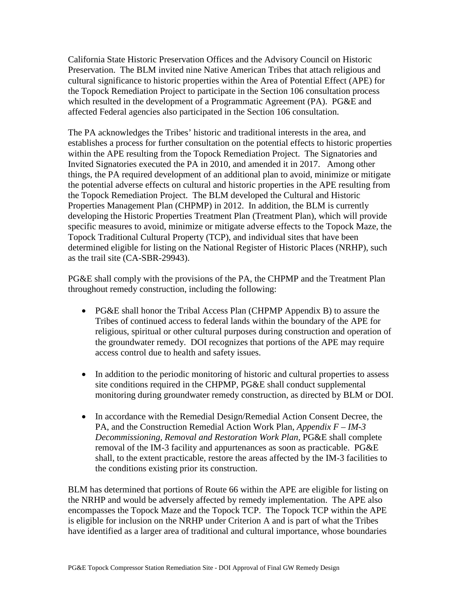California State Historic Preservation Offices and the Advisory Council on Historic Preservation. The BLM invited nine Native American Tribes that attach religious and cultural significance to historic properties within the Area of Potential Effect (APE) for the Topock Remediation Project to participate in the Section 106 consultation process which resulted in the development of a Programmatic Agreement (PA). PG&E and affected Federal agencies also participated in the Section 106 consultation.

The PA acknowledges the Tribes' historic and traditional interests in the area, and establishes a process for further consultation on the potential effects to historic properties within the APE resulting from the Topock Remediation Project. The Signatories and Invited Signatories executed the PA in 2010, and amended it in 2017. Among other things, the PA required development of an additional plan to avoid, minimize or mitigate the potential adverse effects on cultural and historic properties in the APE resulting from the Topock Remediation Project. The BLM developed the Cultural and Historic Properties Management Plan (CHPMP) in 2012. In addition, the BLM is currently developing the Historic Properties Treatment Plan (Treatment Plan), which will provide specific measures to avoid, minimize or mitigate adverse effects to the Topock Maze, the Topock Traditional Cultural Property (TCP), and individual sites that have been determined eligible for listing on the National Register of Historic Places (NRHP), such as the trail site (CA-SBR-29943).

PG&E shall comply with the provisions of the PA, the CHPMP and the Treatment Plan throughout remedy construction, including the following:

- PG&E shall honor the Tribal Access Plan (CHPMP Appendix B) to assure the Tribes of continued access to federal lands within the boundary of the APE for religious, spiritual or other cultural purposes during construction and operation of the groundwater remedy. DOI recognizes that portions of the APE may require access control due to health and safety issues.
- In addition to the periodic monitoring of historic and cultural properties to assess site conditions required in the CHPMP, PG&E shall conduct supplemental monitoring during groundwater remedy construction, as directed by BLM or DOI.
- In accordance with the Remedial Design/Remedial Action Consent Decree, the PA, and the Construction Remedial Action Work Plan, *Appendix F – IM-3 Decommissioning, Removal and Restoration Work Plan*, PG&E shall complete removal of the IM-3 facility and appurtenances as soon as practicable. PG&E shall, to the extent practicable, restore the areas affected by the IM-3 facilities to the conditions existing prior its construction.

BLM has determined that portions of Route 66 within the APE are eligible for listing on the NRHP and would be adversely affected by remedy implementation. The APE also encompasses the Topock Maze and the Topock TCP. The Topock TCP within the APE is eligible for inclusion on the NRHP under Criterion A and is part of what the Tribes have identified as a larger area of traditional and cultural importance, whose boundaries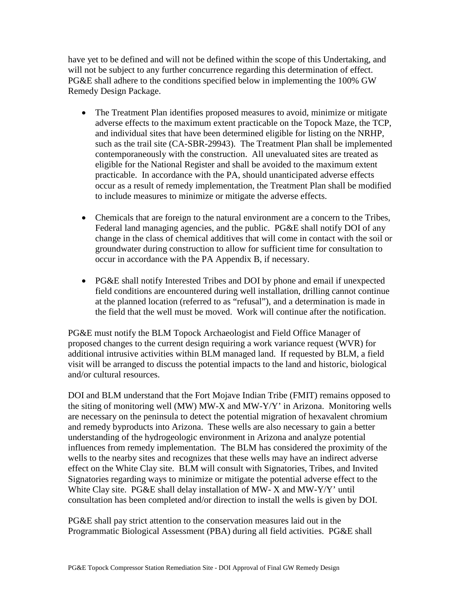have yet to be defined and will not be defined within the scope of this Undertaking, and will not be subject to any further concurrence regarding this determination of effect. PG&E shall adhere to the conditions specified below in implementing the 100% GW Remedy Design Package.

- The Treatment Plan identifies proposed measures to avoid, minimize or mitigate adverse effects to the maximum extent practicable on the Topock Maze, the TCP, and individual sites that have been determined eligible for listing on the NRHP, such as the trail site (CA-SBR-29943). The Treatment Plan shall be implemented contemporaneously with the construction. All unevaluated sites are treated as eligible for the National Register and shall be avoided to the maximum extent practicable. In accordance with the PA, should unanticipated adverse effects occur as a result of remedy implementation, the Treatment Plan shall be modified to include measures to minimize or mitigate the adverse effects.
- Chemicals that are foreign to the natural environment are a concern to the Tribes, Federal land managing agencies, and the public. PG&E shall notify DOI of any change in the class of chemical additives that will come in contact with the soil or groundwater during construction to allow for sufficient time for consultation to occur in accordance with the PA Appendix B, if necessary.
- PG&E shall notify Interested Tribes and DOI by phone and email if unexpected field conditions are encountered during well installation, drilling cannot continue at the planned location (referred to as "refusal"), and a determination is made in the field that the well must be moved. Work will continue after the notification.

PG&E must notify the BLM Topock Archaeologist and Field Office Manager of proposed changes to the current design requiring a work variance request (WVR) for additional intrusive activities within BLM managed land. If requested by BLM, a field visit will be arranged to discuss the potential impacts to the land and historic, biological and/or cultural resources.

DOI and BLM understand that the Fort Mojave Indian Tribe (FMIT) remains opposed to the siting of monitoring well (MW) MW-X and MW-Y/Y' in Arizona. Monitoring wells are necessary on the peninsula to detect the potential migration of hexavalent chromium and remedy byproducts into Arizona. These wells are also necessary to gain a better understanding of the hydrogeologic environment in Arizona and analyze potential influences from remedy implementation. The BLM has considered the proximity of the wells to the nearby sites and recognizes that these wells may have an indirect adverse effect on the White Clay site. BLM will consult with Signatories, Tribes, and Invited Signatories regarding ways to minimize or mitigate the potential adverse effect to the White Clay site. PG&E shall delay installation of MW- X and MW-Y/Y' until consultation has been completed and/or direction to install the wells is given by DOI.

PG&E shall pay strict attention to the conservation measures laid out in the Programmatic Biological Assessment (PBA) during all field activities. PG&E shall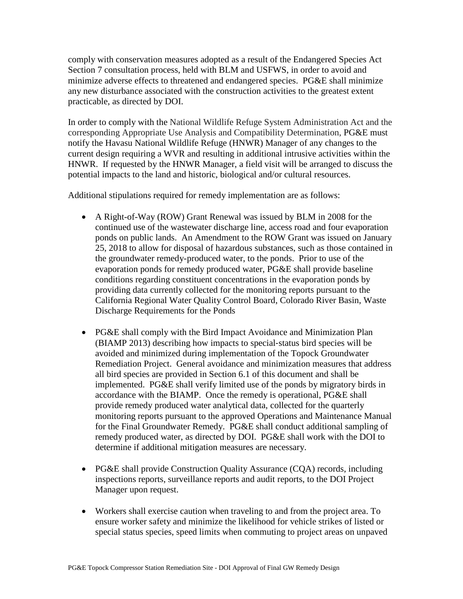comply with conservation measures adopted as a result of the Endangered Species Act Section 7 consultation process, held with BLM and USFWS, in order to avoid and minimize adverse effects to threatened and endangered species. PG&E shall minimize any new disturbance associated with the construction activities to the greatest extent practicable, as directed by DOI.

In order to comply with the National Wildlife Refuge System Administration Act and the corresponding Appropriate Use Analysis and Compatibility Determination, PG&E must notify the Havasu National Wildlife Refuge (HNWR) Manager of any changes to the current design requiring a WVR and resulting in additional intrusive activities within the HNWR. If requested by the HNWR Manager, a field visit will be arranged to discuss the potential impacts to the land and historic, biological and/or cultural resources.

Additional stipulations required for remedy implementation are as follows:

- A Right-of-Way (ROW) Grant Renewal was issued by BLM in 2008 for the continued use of the wastewater discharge line, access road and four evaporation ponds on public lands. An Amendment to the ROW Grant was issued on January 25, 2018 to allow for disposal of hazardous substances, such as those contained in the groundwater remedy-produced water, to the ponds. Prior to use of the evaporation ponds for remedy produced water, PG&E shall provide baseline conditions regarding constituent concentrations in the evaporation ponds by providing data currently collected for the monitoring reports pursuant to the California Regional Water Quality Control Board, Colorado River Basin, Waste Discharge Requirements for the Ponds
- PG&E shall comply with the Bird Impact Avoidance and Minimization Plan (BIAMP 2013) describing how impacts to special‐status bird species will be avoided and minimized during implementation of the Topock Groundwater Remediation Project. General avoidance and minimization measures that address all bird species are provided in Section 6.1 of this document and shall be implemented. PG&E shall verify limited use of the ponds by migratory birds in accordance with the BIAMP. Once the remedy is operational, PG&E shall provide remedy produced water analytical data, collected for the quarterly monitoring reports pursuant to the approved Operations and Maintenance Manual for the Final Groundwater Remedy. PG&E shall conduct additional sampling of remedy produced water, as directed by DOI. PG&E shall work with the DOI to determine if additional mitigation measures are necessary.
- PG&E shall provide Construction Quality Assurance (CQA) records, including inspections reports, surveillance reports and audit reports, to the DOI Project Manager upon request.
- Workers shall exercise caution when traveling to and from the project area. To ensure worker safety and minimize the likelihood for vehicle strikes of listed or special status species, speed limits when commuting to project areas on unpaved